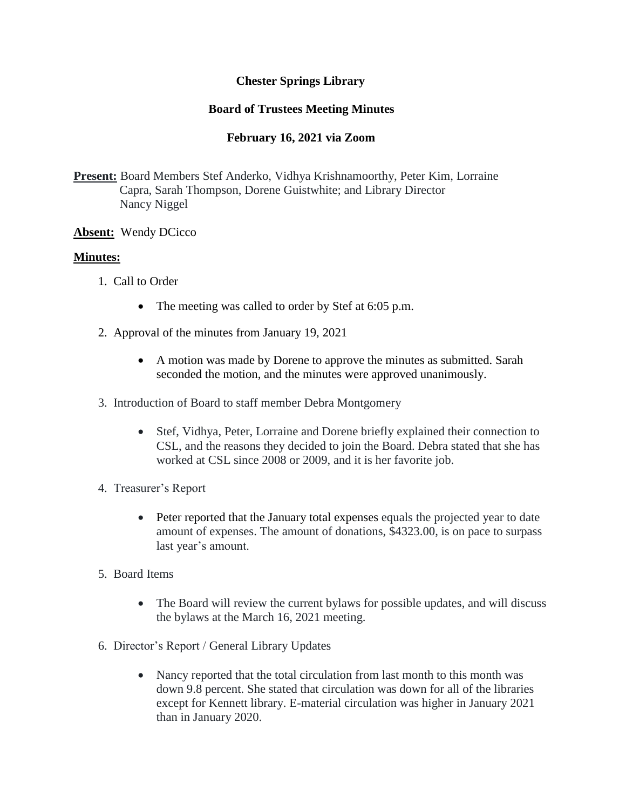# **Chester Springs Library**

# **Board of Trustees Meeting Minutes**

# **February 16, 2021 via Zoom**

**Present:** Board Members Stef Anderko, Vidhya Krishnamoorthy, Peter Kim, Lorraine Capra, Sarah Thompson, Dorene Guistwhite; and Library Director Nancy Niggel

### **Absent:** Wendy DCicco

### **Minutes:**

- 1. Call to Order
	- The meeting was called to order by Stef at 6:05 p.m.
- 2. Approval of the minutes from January 19, 2021
	- A motion was made by Dorene to approve the minutes as submitted. Sarah seconded the motion, and the minutes were approved unanimously.
- 3. Introduction of Board to staff member Debra Montgomery
	- Stef, Vidhya, Peter, Lorraine and Dorene briefly explained their connection to CSL, and the reasons they decided to join the Board. Debra stated that she has worked at CSL since 2008 or 2009, and it is her favorite job.
- 4. Treasurer's Report
	- Peter reported that the January total expenses equals the projected year to date amount of expenses. The amount of donations, \$4323.00, is on pace to surpass last year's amount.
- 5. Board Items
	- The Board will review the current bylaws for possible updates, and will discuss the bylaws at the March 16, 2021 meeting.
- 6. Director's Report / General Library Updates
	- Nancy reported that the total circulation from last month to this month was down 9.8 percent. She stated that circulation was down for all of the libraries except for Kennett library. E-material circulation was higher in January 2021 than in January 2020.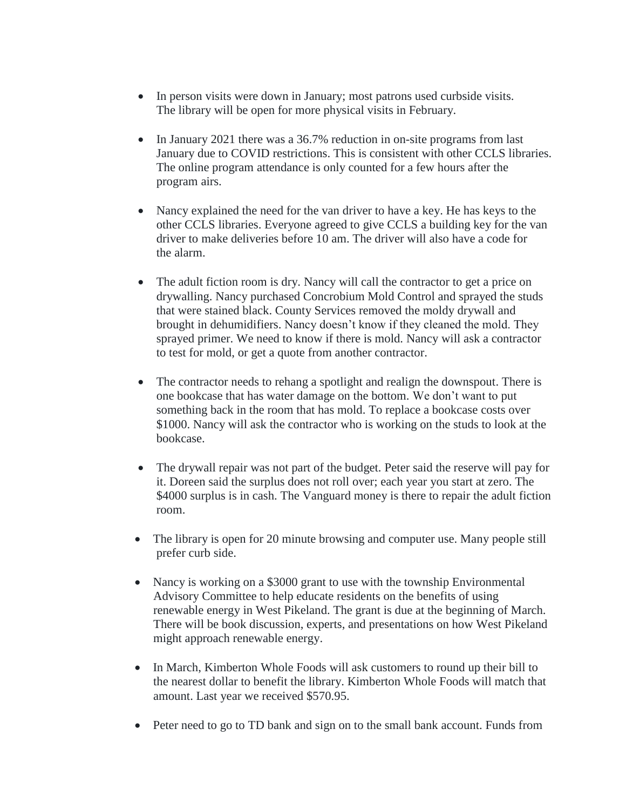- In person visits were down in January; most patrons used curbside visits. The library will be open for more physical visits in February.
- In January 2021 there was a 36.7% reduction in on-site programs from last January due to COVID restrictions. This is consistent with other CCLS libraries. The online program attendance is only counted for a few hours after the program airs.
- Nancy explained the need for the van driver to have a key. He has keys to the other CCLS libraries. Everyone agreed to give CCLS a building key for the van driver to make deliveries before 10 am. The driver will also have a code for the alarm.
- The adult fiction room is dry. Nancy will call the contractor to get a price on drywalling. Nancy purchased Concrobium Mold Control and sprayed the studs that were stained black. County Services removed the moldy drywall and brought in dehumidifiers. Nancy doesn't know if they cleaned the mold. They sprayed primer. We need to know if there is mold. Nancy will ask a contractor to test for mold, or get a quote from another contractor.
- The contractor needs to rehang a spotlight and realign the downspout. There is one bookcase that has water damage on the bottom. We don't want to put something back in the room that has mold. To replace a bookcase costs over \$1000. Nancy will ask the contractor who is working on the studs to look at the bookcase.
- The drywall repair was not part of the budget. Peter said the reserve will pay for it. Doreen said the surplus does not roll over; each year you start at zero. The \$4000 surplus is in cash. The Vanguard money is there to repair the adult fiction room.
- The library is open for 20 minute browsing and computer use. Many people still prefer curb side.
- Nancy is working on a \$3000 grant to use with the township Environmental Advisory Committee to help educate residents on the benefits of using renewable energy in West Pikeland. The grant is due at the beginning of March. There will be book discussion, experts, and presentations on how West Pikeland might approach renewable energy.
- In March, Kimberton Whole Foods will ask customers to round up their bill to the nearest dollar to benefit the library. Kimberton Whole Foods will match that amount. Last year we received \$570.95.
- Peter need to go to TD bank and sign on to the small bank account. Funds from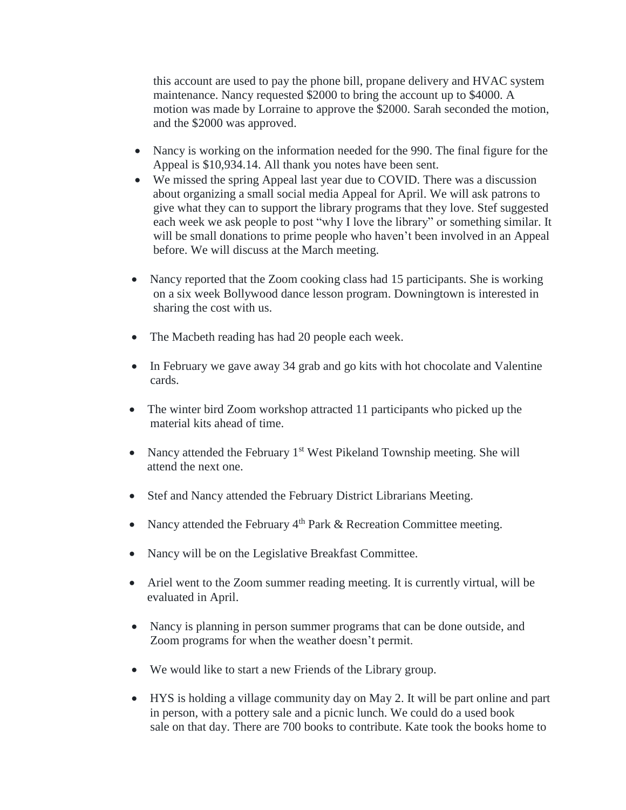this account are used to pay the phone bill, propane delivery and HVAC system maintenance. Nancy requested \$2000 to bring the account up to \$4000. A motion was made by Lorraine to approve the \$2000. Sarah seconded the motion, and the \$2000 was approved.

- Nancy is working on the information needed for the 990. The final figure for the Appeal is \$10,934.14. All thank you notes have been sent.
- We missed the spring Appeal last year due to COVID. There was a discussion about organizing a small social media Appeal for April. We will ask patrons to give what they can to support the library programs that they love. Stef suggested each week we ask people to post "why I love the library" or something similar. It will be small donations to prime people who haven't been involved in an Appeal before. We will discuss at the March meeting.
- Nancy reported that the Zoom cooking class had 15 participants. She is working on a six week Bollywood dance lesson program. Downingtown is interested in sharing the cost with us.
- The Macbeth reading has had 20 people each week.
- In February we gave away 34 grab and go kits with hot chocolate and Valentine cards.
- The winter bird Zoom workshop attracted 11 participants who picked up the material kits ahead of time.
- Nancy attended the February  $1<sup>st</sup>$  West Pikeland Township meeting. She will attend the next one.
- Stef and Nancy attended the February District Librarians Meeting.
- Nancy attended the February  $4<sup>th</sup>$  Park & Recreation Committee meeting.
- Nancy will be on the Legislative Breakfast Committee.
- Ariel went to the Zoom summer reading meeting. It is currently virtual, will be evaluated in April.
- Nancy is planning in person summer programs that can be done outside, and Zoom programs for when the weather doesn't permit.
- We would like to start a new Friends of the Library group.
- HYS is holding a village community day on May 2. It will be part online and part in person, with a pottery sale and a picnic lunch. We could do a used book sale on that day. There are 700 books to contribute. Kate took the books home to